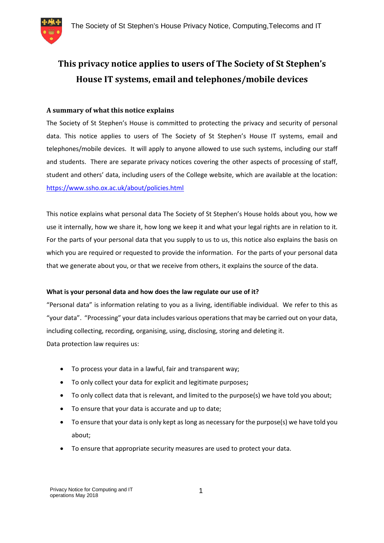

# **This privacy notice applies to users of The Society of St Stephen's House IT systems, email and telephones/mobile devices**

## **A summary of what this notice explains**

The Society of St Stephen's House is committed to protecting the privacy and security of personal data. This notice applies to users of The Society of St Stephen's House IT systems, email and telephones/mobile devices. It will apply to anyone allowed to use such systems, including our staff and students. There are separate privacy notices covering the other aspects of processing of staff, student and others' data, including users of the College website, which are available at the location: https://www.ssho.ox.ac.uk/about/policies.html

This notice explains what personal data The Society of St Stephen's House holds about you, how we use it internally, how we share it, how long we keep it and what your legal rights are in relation to it. For the parts of your personal data that you supply to us to us, this notice also explains the basis on which you are required or requested to provide the information. For the parts of your personal data that we generate about you, or that we receive from others, it explains the source of the data.

## **What is your personal data and how does the law regulate our use of it?**

"Personal data" is information relating to you as a living, identifiable individual. We refer to this as "your data". "Processing" your data includes various operations that may be carried out on your data, including collecting, recording, organising, using, disclosing, storing and deleting it. Data protection law requires us:

- To process your data in a lawful, fair and transparent way;
- To only collect your data for explicit and legitimate purposes**;**
- To only collect data that is relevant, and limited to the purpose(s) we have told you about;
- To ensure that your data is accurate and up to date;
- To ensure that your data is only kept as long as necessary for the purpose(s) we have told you about;
- To ensure that appropriate security measures are used to protect your data.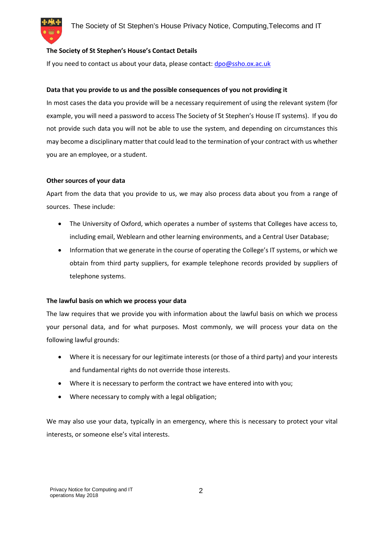## **The Society of St Stephen's House's Contact Details**

If you need to contact us about your data, please contact: dpo@ssho.ox.ac.uk

#### **Data that you provide to us and the possible consequences of you not providing it**

In most cases the data you provide will be a necessary requirement of using the relevant system (for example, you will need a password to access The Society of St Stephen's House IT systems). If you do not provide such data you will not be able to use the system, and depending on circumstances this may become a disciplinary matter that could lead to the termination of your contract with us whether you are an employee, or a student.

#### **Other sources of your data**

Apart from the data that you provide to us, we may also process data about you from a range of sources. These include:

- The University of Oxford, which operates a number of systems that Colleges have access to, including email, Weblearn and other learning environments, and a Central User Database;
- Information that we generate in the course of operating the College's IT systems, or which we obtain from third party suppliers, for example telephone records provided by suppliers of telephone systems.

#### **The lawful basis on which we process your data**

The law requires that we provide you with information about the lawful basis on which we process your personal data, and for what purposes. Most commonly, we will process your data on the following lawful grounds:

- Where it is necessary for our legitimate interests (or those of a third party) and your interests and fundamental rights do not override those interests.
- Where it is necessary to perform the contract we have entered into with you;
- Where necessary to comply with a legal obligation;

We may also use your data, typically in an emergency, where this is necessary to protect your vital interests, or someone else's vital interests.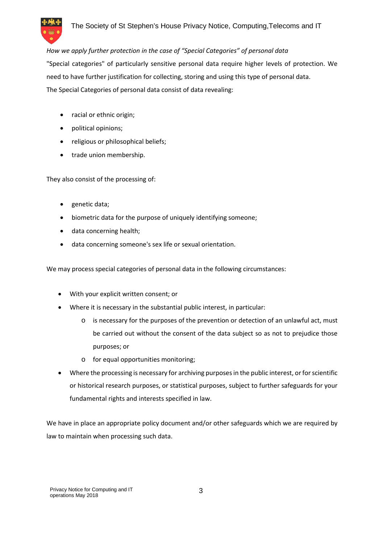

## *How we apply further protection in the case of "Special Categories" of personal data*

"Special categories" of particularly sensitive personal data require higher levels of protection. We need to have further justification for collecting, storing and using this type of personal data. The Special Categories of personal data consist of data revealing:

- racial or ethnic origin;
- political opinions;
- religious or philosophical beliefs;
- trade union membership.

They also consist of the processing of:

- genetic data;
- biometric data for the purpose of uniquely identifying someone;
- data concerning health;
- data concerning someone's sex life or sexual orientation.

We may process special categories of personal data in the following circumstances:

- With your explicit written consent; or
- Where it is necessary in the substantial public interest, in particular:
	- o is necessary for the purposes of the prevention or detection of an unlawful act, must be carried out without the consent of the data subject so as not to prejudice those purposes; or
	- o for equal opportunities monitoring;
- Where the processing is necessary for archiving purposes in the public interest, or for scientific or historical research purposes, or statistical purposes, subject to further safeguards for your fundamental rights and interests specified in law.

We have in place an appropriate policy document and/or other safeguards which we are required by law to maintain when processing such data.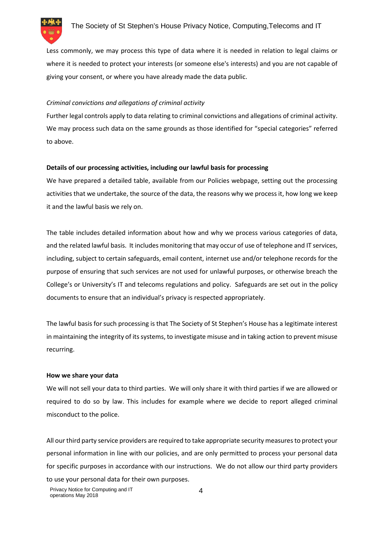

Less commonly, we may process this type of data where it is needed in relation to legal claims or where it is needed to protect your interests (or someone else's interests) and you are not capable of giving your consent, or where you have already made the data public.

## *Criminal convictions and allegations of criminal activity*

Further legal controls apply to data relating to criminal convictions and allegations of criminal activity. We may process such data on the same grounds as those identified for "special categories" referred to above.

## **Details of our processing activities, including our lawful basis for processing**

We have prepared a detailed table, available from our Policies webpage, setting out the processing activities that we undertake, the source of the data, the reasons why we process it, how long we keep it and the lawful basis we rely on.

The table includes detailed information about how and why we process various categories of data, and the related lawful basis. It includes monitoring that may occur of use of telephone and IT services, including, subject to certain safeguards, email content, internet use and/or telephone records for the purpose of ensuring that such services are not used for unlawful purposes, or otherwise breach the College's or University's IT and telecoms regulations and policy. Safeguards are set out in the policy documents to ensure that an individual's privacy is respected appropriately.

The lawful basis for such processing is that The Society of St Stephen's House has a legitimate interest in maintaining the integrity of its systems, to investigate misuse and in taking action to prevent misuse recurring.

## **How we share your data**

We will not sell your data to third parties. We will only share it with third parties if we are allowed or required to do so by law. This includes for example where we decide to report alleged criminal misconduct to the police.

All our third party service providers are required to take appropriate security measures to protect your personal information in line with our policies, and are only permitted to process your personal data for specific purposes in accordance with our instructions. We do not allow our third party providers to use your personal data for their own purposes.

Privacy Notice for Computing and IT operations May 2018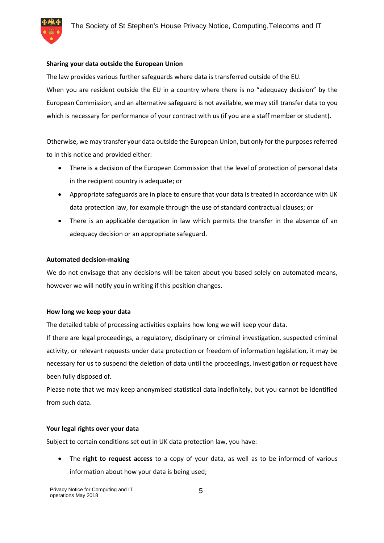

### **Sharing your data outside the European Union**

The law provides various further safeguards where data is transferred outside of the EU. When you are resident outside the EU in a country where there is no "adequacy decision" by the European Commission, and an alternative safeguard is not available, we may still transfer data to you which is necessary for performance of your contract with us (if you are a staff member or student).

Otherwise, we may transfer your data outside the European Union, but only for the purposes referred to in this notice and provided either:

- There is a decision of the European Commission that the level of protection of personal data in the recipient country is adequate; or
- Appropriate safeguards are in place to ensure that your data is treated in accordance with UK data protection law, for example through the use of standard contractual clauses; or
- There is an applicable derogation in law which permits the transfer in the absence of an adequacy decision or an appropriate safeguard.

## **Automated decision-making**

We do not envisage that any decisions will be taken about you based solely on automated means, however we will notify you in writing if this position changes.

#### **How long we keep your data**

The detailed table of processing activities explains how long we will keep your data.

If there are legal proceedings, a regulatory, disciplinary or criminal investigation, suspected criminal activity, or relevant requests under data protection or freedom of information legislation, it may be necessary for us to suspend the deletion of data until the proceedings, investigation or request have been fully disposed of.

Please note that we may keep anonymised statistical data indefinitely, but you cannot be identified from such data.

#### **Your legal rights over your data**

Subject to certain conditions set out in UK data protection law, you have:

 The **right to request access** to a copy of your data, as well as to be informed of various information about how your data is being used;

Privacy Notice for Computing and IT operations May 2018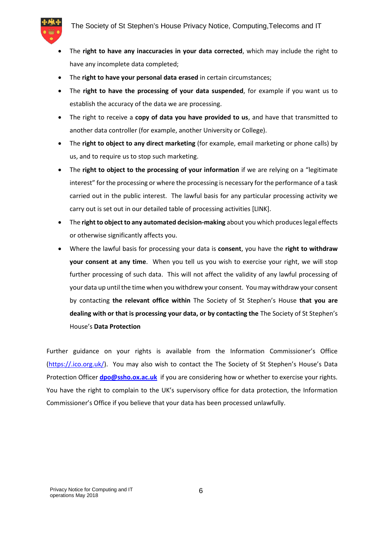

- The **right to have any inaccuracies in your data corrected**, which may include the right to have any incomplete data completed;
- The **right to have your personal data erased** in certain circumstances;
- The **right to have the processing of your data suspended**, for example if you want us to establish the accuracy of the data we are processing.
- The right to receive a **copy of data you have provided to us**, and have that transmitted to another data controller (for example, another University or College).
- The **right to object to any direct marketing** (for example, email marketing or phone calls) by us, and to require us to stop such marketing.
- The **right to object to the processing of your information** if we are relying on a "legitimate interest" for the processing or where the processing is necessary for the performance of a task carried out in the public interest. The lawful basis for any particular processing activity we carry out is set out in our detailed table of processing activities [LINK].
- The **right to object to any automated decision-making** about you which produces legal effects or otherwise significantly affects you.
- Where the lawful basis for processing your data is **consent**, you have the **right to withdraw your consent at any time**. When you tell us you wish to exercise your right, we will stop further processing of such data. This will not affect the validity of any lawful processing of your data up until the time when you withdrew your consent. You may withdraw your consent by contacting **the relevant office within** The Society of St Stephen's House **that you are dealing with or that is processing your data, or by contacting the** The Society of St Stephen's House's **Data Protection**

Further guidance on your rights is available from the Information Commissioner's Office (https://.ico.org.uk/). You may also wish to contact the The Society of St Stephen's House's Data Protection Officer **dpo@ssho.ox.ac.uk** if you are considering how or whether to exercise your rights. You have the right to complain to the UK's supervisory office for data protection, the Information Commissioner's Office if you believe that your data has been processed unlawfully.